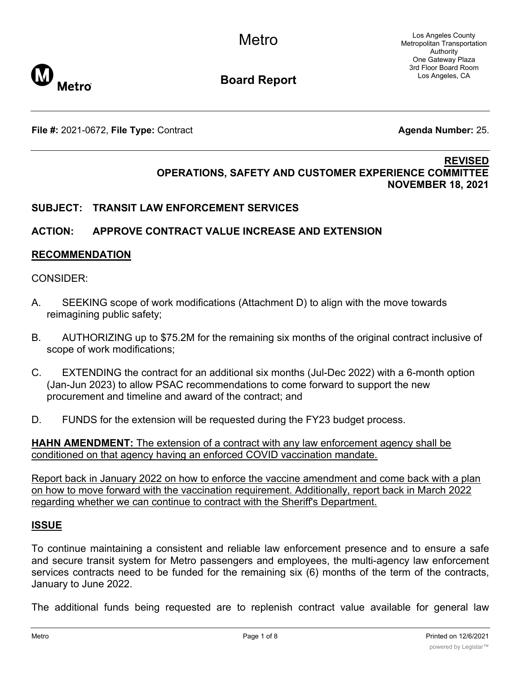Los Angeles County Metropolitan Transportation Authority One Gateway Plaza 3rd Floor Board Room Los Angeles, CA



**Board Report**

**File #:** 2021-0672, File Type: Contract **Agents Agenda Number:** 25.

#### **REVISED OPERATIONS, SAFETY AND CUSTOMER EXPERIENCE COMMITTEE NOVEMBER 18, 2021**

# **SUBJECT: TRANSIT LAW ENFORCEMENT SERVICES**

# **ACTION: APPROVE CONTRACT VALUE INCREASE AND EXTENSION**

### **RECOMMENDATION**

#### CONSIDER:

- A. SEEKING scope of work modifications (Attachment D) to align with the move towards reimagining public safety;
- B. AUTHORIZING up to \$75.2M for the remaining six months of the original contract inclusive of scope of work modifications;
- C. EXTENDING the contract for an additional six months (Jul-Dec 2022) with a 6-month option (Jan-Jun 2023) to allow PSAC recommendations to come forward to support the new procurement and timeline and award of the contract; and
- D. FUNDS for the extension will be requested during the FY23 budget process.

**HAHN AMENDMENT:** The extension of a contract with any law enforcement agency shall be conditioned on that agency having an enforced COVID vaccination mandate.

Report back in January 2022 on how to enforce the vaccine amendment and come back with a plan on how to move forward with the vaccination requirement. Additionally, report back in March 2022 regarding whether we can continue to contract with the Sheriff's Department.

### **ISSUE**

To continue maintaining a consistent and reliable law enforcement presence and to ensure a safe and secure transit system for Metro passengers and employees, the multi-agency law enforcement services contracts need to be funded for the remaining six (6) months of the term of the contracts, January to June 2022.

The additional funds being requested are to replenish contract value available for general law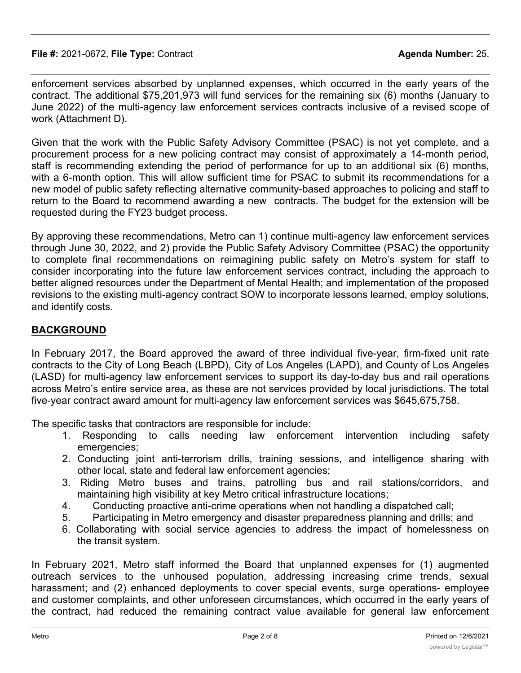enforcement services absorbed by unplanned expenses, which occurred in the early years of the contract. The additional \$75,201,973 will fund services for the remaining six (6) months (January to June 2022) of the multi-agency law enforcement services contracts inclusive of a revised scope of work (Attachment D).

Given that the work with the Public Safety Advisory Committee (PSAC) is not yet complete, and a procurement process for a new policing contract may consist of approximately a 14-month period, staff is recommending extending the period of performance for up to an additional six (6) months, with a 6-month option. This will allow sufficient time for PSAC to submit its recommendations for a new model of public safety reflecting alternative community-based approaches to policing and staff to return to the Board to recommend awarding a new contracts. The budget for the extension will be requested during the FY23 budget process.

By approving these recommendations, Metro can 1) continue multi-agency law enforcement services through June 30, 2022, and 2) provide the Public Safety Advisory Committee (PSAC) the opportunity to complete final recommendations on reimagining public safety on Metro's system for staff to consider incorporating into the future law enforcement services contract, including the approach to better aligned resources under the Department of Mental Health; and implementation of the proposed revisions to the existing multi-agency contract SOW to incorporate lessons learned, employ solutions, and identify costs.

# **BACKGROUND**

In February 2017, the Board approved the award of three individual five-year, firm-fixed unit rate contracts to the City of Long Beach (LBPD), City of Los Angeles (LAPD), and County of Los Angeles (LASD) for multi-agency law enforcement services to support its day-to-day bus and rail operations across Metro's entire service area, as these are not services provided by local jurisdictions. The total five-year contract award amount for multi-agency law enforcement services was \$645,675,758.

The specific tasks that contractors are responsible for include:

- 1. Responding to calls needing law enforcement intervention including safety emergencies;
- 2. Conducting joint anti-terrorism drills, training sessions, and intelligence sharing with other local, state and federal law enforcement agencies;
- 3. Riding Metro buses and trains, patrolling bus and rail stations/corridors, and maintaining high visibility at key Metro critical infrastructure locations;
- 4. Conducting proactive anti-crime operations when not handling a dispatched call;
- 5. Participating in Metro emergency and disaster preparedness planning and drills; and
- 6. Collaborating with social service agencies to address the impact of homelessness on the transit system.

In February 2021, Metro staff informed the Board that unplanned expenses for (1) augmented outreach services to the unhoused population, addressing increasing crime trends, sexual harassment; and (2) enhanced deployments to cover special events, surge operations- employee and customer complaints, and other unforeseen circumstances, which occurred in the early years of the contract, had reduced the remaining contract value available for general law enforcement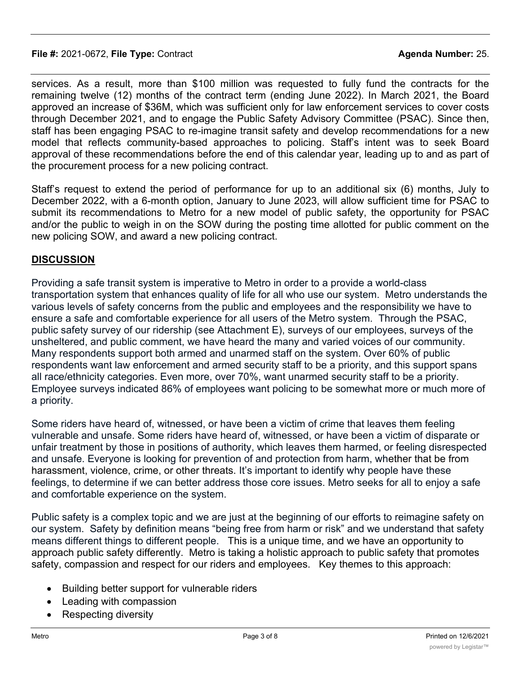#### **File #:** 2021-0672, **File Type:** Contract **Agenda Number:** 25.

services. As a result, more than \$100 million was requested to fully fund the contracts for the remaining twelve (12) months of the contract term (ending June 2022). In March 2021, the Board approved an increase of \$36M, which was sufficient only for law enforcement services to cover costs through December 2021, and to engage the Public Safety Advisory Committee (PSAC). Since then, staff has been engaging PSAC to re-imagine transit safety and develop recommendations for a new model that reflects community-based approaches to policing. Staff's intent was to seek Board approval of these recommendations before the end of this calendar year, leading up to and as part of the procurement process for a new policing contract.

Staff's request to extend the period of performance for up to an additional six (6) months, July to December 2022, with a 6-month option, January to June 2023, will allow sufficient time for PSAC to submit its recommendations to Metro for a new model of public safety, the opportunity for PSAC and/or the public to weigh in on the SOW during the posting time allotted for public comment on the new policing SOW, and award a new policing contract.

# **DISCUSSION**

Providing a safe transit system is imperative to Metro in order to a provide a world-class transportation system that enhances quality of life for all who use our system. Metro understands the various levels of safety concerns from the public and employees and the responsibility we have to ensure a safe and comfortable experience for all users of the Metro system. Through the PSAC, public safety survey of our ridership (see Attachment E), surveys of our employees, surveys of the unsheltered, and public comment, we have heard the many and varied voices of our community. Many respondents support both armed and unarmed staff on the system. Over 60% of public respondents want law enforcement and armed security staff to be a priority, and this support spans all race/ethnicity categories. Even more, over 70%, want unarmed security staff to be a priority. Employee surveys indicated 86% of employees want policing to be somewhat more or much more of a priority.

Some riders have heard of, witnessed, or have been a victim of crime that leaves them feeling vulnerable and unsafe. Some riders have heard of, witnessed, or have been a victim of disparate or unfair treatment by those in positions of authority, which leaves them harmed, or feeling disrespected and unsafe. Everyone is looking for prevention of and protection from harm, whether that be from harassment, violence, crime, or other threats. It's important to identify why people have these feelings, to determine if we can better address those core issues. Metro seeks for all to enjoy a safe and comfortable experience on the system.

Public safety is a complex topic and we are just at the beginning of our efforts to reimagine safety on our system. Safety by definition means "being free from harm or risk" and we understand that safety means different things to different people. This is a unique time, and we have an opportunity to approach public safety differently. Metro is taking a holistic approach to public safety that promotes safety, compassion and respect for our riders and employees. Key themes to this approach:

- · Building better support for vulnerable riders
- Leading with compassion
- **Respecting diversity**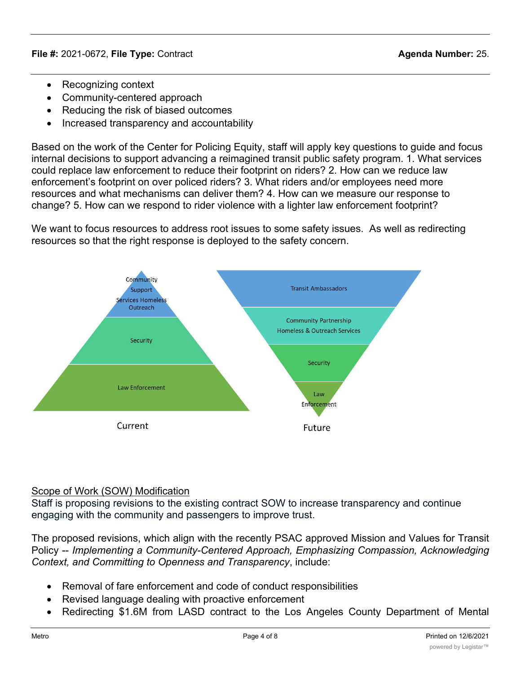- Recognizing context
- · Community-centered approach
- · Reducing the risk of biased outcomes
- · Increased transparency and accountability

Based on the work of the Center for Policing Equity, staff will apply key questions to guide and focus internal decisions to support advancing a reimagined transit public safety program. 1. What services could replace law enforcement to reduce their footprint on riders? 2. How can we reduce law enforcement's footprint on over policed riders? 3. What riders and/or employees need more resources and what mechanisms can deliver them? 4. How can we measure our response to change? 5. How can we respond to rider violence with a lighter law enforcement footprint?

We want to focus resources to address root issues to some safety issues. As well as redirecting resources so that the right response is deployed to the safety concern.



### Scope of Work (SOW) Modification

Staff is proposing revisions to the existing contract SOW to increase transparency and continue engaging with the community and passengers to improve trust.

The proposed revisions, which align with the recently PSAC approved Mission and Values for Transit Policy -- *Implementing a Community-Centered Approach, Emphasizing Compassion, Acknowledging Context, and Committing to Openness and Transparency*, include:

- · Removal of fare enforcement and code of conduct responsibilities
- · Revised language dealing with proactive enforcement
- Redirecting \$1.6M from LASD contract to the Los Angeles County Department of Mental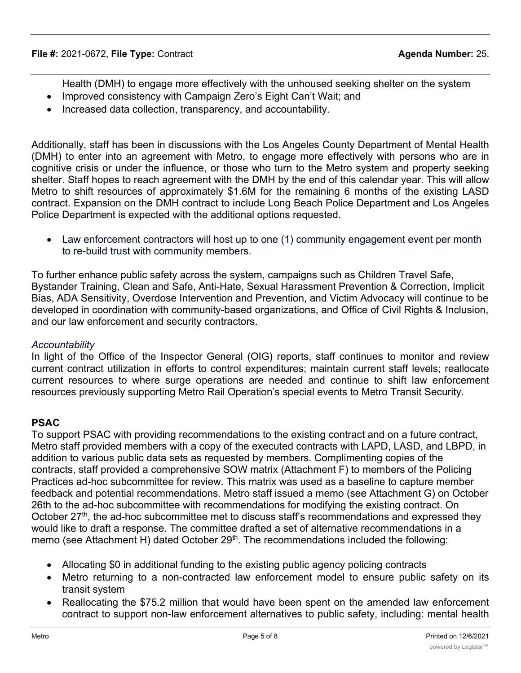- Health (DMH) to engage more effectively with the unhoused seeking shelter on the system
- Improved consistency with Campaign Zero's Eight Can't Wait; and
- · Increased data collection, transparency, and accountability.

Additionally, staff has been in discussions with the Los Angeles County Department of Mental Health (DMH) to enter into an agreement with Metro, to engage more effectively with persons who are in cognitive crisis or under the influence, or those who turn to the Metro system and property seeking shelter. Staff hopes to reach agreement with the DMH by the end of this calendar year. This will allow Metro to shift resources of approximately \$1.6M for the remaining 6 months of the existing LASD contract. Expansion on the DMH contract to include Long Beach Police Department and Los Angeles Police Department is expected with the additional options requested.

• Law enforcement contractors will host up to one (1) community engagement event per month to re-build trust with community members.

To further enhance public safety across the system, campaigns such as Children Travel Safe, Bystander Training, Clean and Safe, Anti-Hate, Sexual Harassment Prevention & Correction, Implicit Bias, ADA Sensitivity, Overdose Intervention and Prevention, and Victim Advocacy will continue to be developed in coordination with community-based organizations, and Office of Civil Rights & Inclusion, and our law enforcement and security contractors.

### *Accountability*

In light of the Office of the Inspector General (OIG) reports, staff continues to monitor and review current contract utilization in efforts to control expenditures; maintain current staff levels; reallocate current resources to where surge operations are needed and continue to shift law enforcement resources previously supporting Metro Rail Operation's special events to Metro Transit Security.

# **PSAC**

To support PSAC with providing recommendations to the existing contract and on a future contract, Metro staff provided members with a copy of the executed contracts with LAPD, LASD, and LBPD, in addition to various public data sets as requested by members. Complimenting copies of the contracts, staff provided a comprehensive SOW matrix (Attachment F) to members of the Policing Practices ad-hoc subcommittee for review. This matrix was used as a baseline to capture member feedback and potential recommendations. Metro staff issued a memo (see Attachment G) on October 26th to the ad-hoc subcommittee with recommendations for modifying the existing contract. On October  $27<sup>th</sup>$ , the ad-hoc subcommittee met to discuss staff's recommendations and expressed they would like to draft a response. The committee drafted a set of alternative recommendations in a memo (see Attachment H) dated October 29<sup>th</sup>. The recommendations included the following:

- Allocating \$0 in additional funding to the existing public agency policing contracts
- Metro returning to a non-contracted law enforcement model to ensure public safety on its transit system
- Reallocating the \$75.2 million that would have been spent on the amended law enforcement contract to support non-law enforcement alternatives to public safety, including: mental health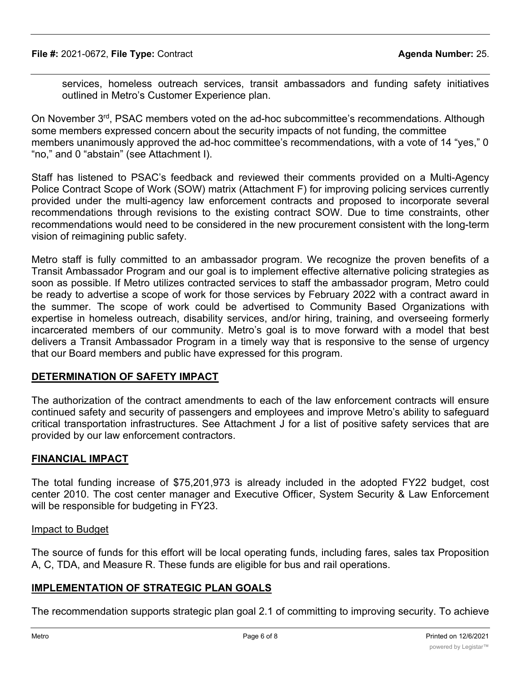services, homeless outreach services, transit ambassadors and funding safety initiatives outlined in Metro's Customer Experience plan.

On November 3<sup>rd</sup>, PSAC members voted on the ad-hoc subcommittee's recommendations. Although some members expressed concern about the security impacts of not funding, the committee members unanimously approved the ad-hoc committee's recommendations, with a vote of 14 "yes," 0 "no," and 0 "abstain" (see Attachment I).

Staff has listened to PSAC's feedback and reviewed their comments provided on a Multi-Agency Police Contract Scope of Work (SOW) matrix (Attachment F) for improving policing services currently provided under the multi-agency law enforcement contracts and proposed to incorporate several recommendations through revisions to the existing contract SOW. Due to time constraints, other recommendations would need to be considered in the new procurement consistent with the long-term vision of reimagining public safety.

Metro staff is fully committed to an ambassador program. We recognize the proven benefits of a Transit Ambassador Program and our goal is to implement effective alternative policing strategies as soon as possible. If Metro utilizes contracted services to staff the ambassador program, Metro could be ready to advertise a scope of work for those services by February 2022 with a contract award in the summer. The scope of work could be advertised to Community Based Organizations with expertise in homeless outreach, disability services, and/or hiring, training, and overseeing formerly incarcerated members of our community. Metro's goal is to move forward with a model that best delivers a Transit Ambassador Program in a timely way that is responsive to the sense of urgency that our Board members and public have expressed for this program.

### **DETERMINATION OF SAFETY IMPACT**

The authorization of the contract amendments to each of the law enforcement contracts will ensure continued safety and security of passengers and employees and improve Metro's ability to safeguard critical transportation infrastructures. See Attachment J for a list of positive safety services that are provided by our law enforcement contractors.

### **FINANCIAL IMPACT**

The total funding increase of \$75,201,973 is already included in the adopted FY22 budget, cost center 2010. The cost center manager and Executive Officer, System Security & Law Enforcement will be responsible for budgeting in FY23.

#### Impact to Budget

The source of funds for this effort will be local operating funds, including fares, sales tax Proposition A, C, TDA, and Measure R. These funds are eligible for bus and rail operations.

### **IMPLEMENTATION OF STRATEGIC PLAN GOALS**

The recommendation supports strategic plan goal 2.1 of committing to improving security. To achieve this goal, Metro will rely on a multi-layered, integrated security program that comprises technology,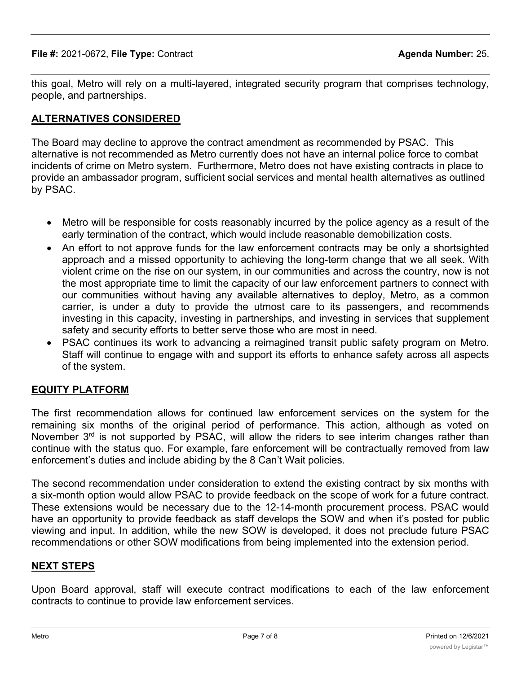this goal, Metro will rely on a multi-layered, integrated security program that comprises technology, people, and partnerships.

# **ALTERNATIVES CONSIDERED**

The Board may decline to approve the contract amendment as recommended by PSAC. This alternative is not recommended as Metro currently does not have an internal police force to combat incidents of crime on Metro system. Furthermore, Metro does not have existing contracts in place to provide an ambassador program, sufficient social services and mental health alternatives as outlined by PSAC.

- · Metro will be responsible for costs reasonably incurred by the police agency as a result of the early termination of the contract, which would include reasonable demobilization costs.
- An effort to not approve funds for the law enforcement contracts may be only a shortsighted approach and a missed opportunity to achieving the long-term change that we all seek. With violent crime on the rise on our system, in our communities and across the country, now is not the most appropriate time to limit the capacity of our law enforcement partners to connect with our communities without having any available alternatives to deploy, Metro, as a common carrier, is under a duty to provide the utmost care to its passengers, and recommends investing in this capacity, investing in partnerships, and investing in services that supplement safety and security efforts to better serve those who are most in need.
- · PSAC continues its work to advancing a reimagined transit public safety program on Metro. Staff will continue to engage with and support its efforts to enhance safety across all aspects of the system.

### **EQUITY PLATFORM**

The first recommendation allows for continued law enforcement services on the system for the remaining six months of the original period of performance. This action, although as voted on November  $3<sup>rd</sup>$  is not supported by PSAC, will allow the riders to see interim changes rather than continue with the status quo. For example, fare enforcement will be contractually removed from law enforcement's duties and include abiding by the 8 Can't Wait policies.

The second recommendation under consideration to extend the existing contract by six months with a six-month option would allow PSAC to provide feedback on the scope of work for a future contract. These extensions would be necessary due to the 12-14-month procurement process. PSAC would have an opportunity to provide feedback as staff develops the SOW and when it's posted for public viewing and input. In addition, while the new SOW is developed, it does not preclude future PSAC recommendations or other SOW modifications from being implemented into the extension period.

### **NEXT STEPS**

Upon Board approval, staff will execute contract modifications to each of the law enforcement contracts to continue to provide law enforcement services.